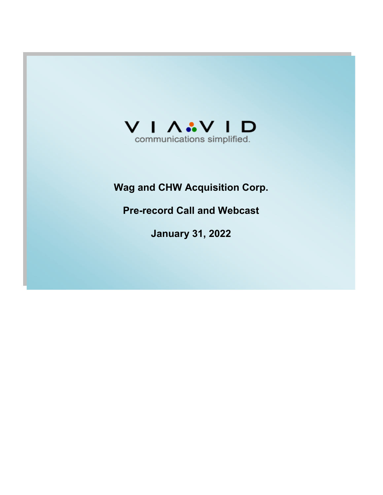

# **Wag and CHW Acquisition Corp.**

**Pre-record Call and Webcast** 

**January 31, 2022**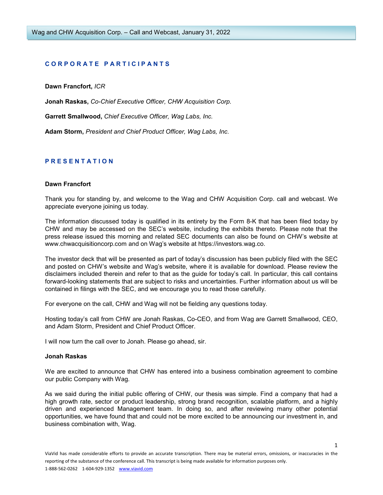# **C O R P O R A T E P A R T I C I P A N T S**

**Dawn Francfort,** *ICR*

**Jonah Raskas,** *Co-Chief Executive Officer, CHW Acquisition Corp.* 

**Garrett Smallwood,** *Chief Executive Officer, Wag Labs, Inc.* 

**Adam Storm,** *President and Chief Product Officer, Wag Labs, Inc.* 

# **P R E S E N T A T I O N**

#### **Dawn Francfort**

Thank you for standing by, and welcome to the Wag and CHW Acquisition Corp. call and webcast. We appreciate everyone joining us today.

The information discussed today is qualified in its entirety by the Form 8-K that has been filed today by CHW and may be accessed on the SEC's website, including the exhibits thereto. Please note that the press release issued this morning and related SEC documents can also be found on CHW's website at www.chwacquisitioncorp.com and on Wag's website at https://investors.wag.co.

The investor deck that will be presented as part of today's discussion has been publicly filed with the SEC and posted on CHW's website and Wag's website, where it is available for download. Please review the disclaimers included therein and refer to that as the guide for today's call. In particular, this call contains forward-looking statements that are subject to risks and uncertainties. Further information about us will be contained in filings with the SEC, and we encourage you to read those carefully.

For everyone on the call, CHW and Wag will not be fielding any questions today.

Hosting today's call from CHW are Jonah Raskas, Co-CEO, and from Wag are Garrett Smallwood, CEO, and Adam Storm, President and Chief Product Officer.

I will now turn the call over to Jonah. Please go ahead, sir.

#### **Jonah Raskas**

We are excited to announce that CHW has entered into a business combination agreement to combine our public Company with Wag.

As we said during the initial public offering of CHW, our thesis was simple. Find a company that had a high growth rate, sector or product leadership, strong brand recognition, scalable platform, and a highly driven and experienced Management team. In doing so, and after reviewing many other potential opportunities, we have found that and could not be more excited to be announcing our investment in, and business combination with, Wag.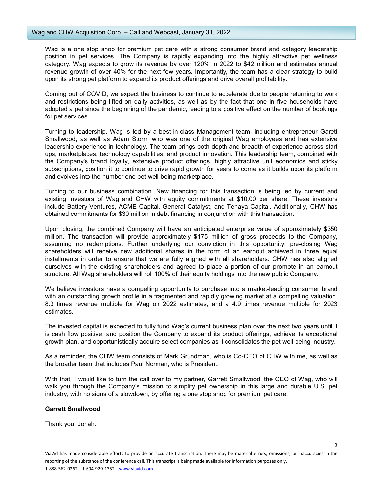Wag is a one stop shop for premium pet care with a strong consumer brand and category leadership position in pet services. The Company is rapidly expanding into the highly attractive pet wellness category. Wag expects to grow its revenue by over 120% in 2022 to \$42 million and estimates annual revenue growth of over 40% for the next few years. Importantly, the team has a clear strategy to build upon its strong pet platform to expand its product offerings and drive overall profitability.

Coming out of COVID, we expect the business to continue to accelerate due to people returning to work and restrictions being lifted on daily activities, as well as by the fact that one in five households have adopted a pet since the beginning of the pandemic, leading to a positive effect on the number of bookings for pet services.

Turning to leadership. Wag is led by a best-in-class Management team, including entrepreneur Garett Smallwood, as well as Adam Storm who was one of the original Wag employees and has extensive leadership experience in technology. The team brings both depth and breadth of experience across start ups, marketplaces, technology capabilities, and product innovation. This leadership team, combined with the Company's brand loyalty, extensive product offerings, highly attractive unit economics and sticky subscriptions, position it to continue to drive rapid growth for years to come as it builds upon its platform and evolves into the number one pet well-being marketplace.

Turning to our business combination. New financing for this transaction is being led by current and existing investors of Wag and CHW with equity commitments at \$10.00 per share. These investors include Battery Ventures, ACME Capital, General Catalyst, and Tenaya Capital. Additionally, CHW has obtained commitments for \$30 million in debt financing in conjunction with this transaction.

Upon closing, the combined Company will have an anticipated enterprise value of approximately \$350 million. The transaction will provide approximately \$175 million of gross proceeds to the Company, assuming no redemptions. Further underlying our conviction in this opportunity, pre-closing Wag shareholders will receive new additional shares in the form of an earnout achieved in three equal installments in order to ensure that we are fully aligned with all shareholders. CHW has also aligned ourselves with the existing shareholders and agreed to place a portion of our promote in an earnout structure. All Wag shareholders will roll 100% of their equity holdings into the new public Company.

We believe investors have a compelling opportunity to purchase into a market-leading consumer brand with an outstanding growth profile in a fragmented and rapidly growing market at a compelling valuation. 8.3 times revenue multiple for Wag on 2022 estimates, and a 4.9 times revenue multiple for 2023 estimates.

The invested capital is expected to fully fund Wag's current business plan over the next two years until it is cash flow positive, and position the Company to expand its product offerings, achieve its exceptional growth plan, and opportunistically acquire select companies as it consolidates the pet well-being industry.

As a reminder, the CHW team consists of Mark Grundman, who is Co-CEO of CHW with me, as well as the broader team that includes Paul Norman, who is President.

With that, I would like to turn the call over to my partner, Garrett Smallwood, the CEO of Wag, who will walk you through the Company's mission to simplify pet ownership in this large and durable U.S. pet industry, with no signs of a slowdown, by offering a one stop shop for premium pet care.

## **Garrett Smallwood**

Thank you, Jonah.

 $\overline{\phantom{a}}$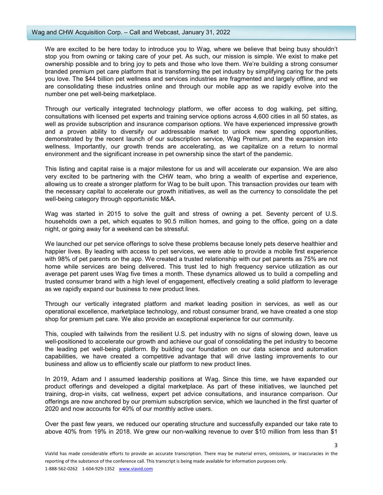We are excited to be here today to introduce you to Wag, where we believe that being busy shouldn't stop you from owning or taking care of your pet. As such, our mission is simple. We exist to make pet ownership possible and to bring joy to pets and those who love them. We're building a strong consumer branded premium pet care platform that is transforming the pet industry by simplifying caring for the pets you love. The \$44 billion pet wellness and services industries are fragmented and largely offline, and we are consolidating these industries online and through our mobile app as we rapidly evolve into the number one pet well-being marketplace.

Through our vertically integrated technology platform, we offer access to dog walking, pet sitting, consultations with licensed pet experts and training service options across 4,600 cities in all 50 states, as well as provide subscription and insurance comparison options. We have experienced impressive growth and a proven ability to diversify our addressable market to unlock new spending opportunities, demonstrated by the recent launch of our subscription service, Wag Premium, and the expansion into wellness. Importantly, our growth trends are accelerating, as we capitalize on a return to normal environment and the significant increase in pet ownership since the start of the pandemic.

This listing and capital raise is a major milestone for us and will accelerate our expansion. We are also very excited to be partnering with the CHW team, who bring a wealth of expertise and experience, allowing us to create a stronger platform for Wag to be built upon. This transaction provides our team with the necessary capital to accelerate our growth initiatives, as well as the currency to consolidate the pet well-being category through opportunistic M&A.

Wag was started in 2015 to solve the guilt and stress of owning a pet. Seventy percent of U.S. households own a pet, which equates to 90.5 million homes, and going to the office, going on a date night, or going away for a weekend can be stressful.

We launched our pet service offerings to solve these problems because lonely pets deserve healthier and happier lives. By leading with access to pet services, we were able to provide a mobile first experience with 98% of pet parents on the app. We created a trusted relationship with our pet parents as 75% are not home while services are being delivered. This trust led to high frequency service utilization as our average pet parent uses Wag five times a month. These dynamics allowed us to build a compelling and trusted consumer brand with a high level of engagement, effectively creating a solid platform to leverage as we rapidly expand our business to new product lines.

Through our vertically integrated platform and market leading position in services, as well as our operational excellence, marketplace technology, and robust consumer brand, we have created a one stop shop for premium pet care. We also provide an exceptional experience for our community.

This, coupled with tailwinds from the resilient U.S. pet industry with no signs of slowing down, leave us well-positioned to accelerate our growth and achieve our goal of consolidating the pet industry to become the leading pet well-being platform. By building our foundation on our data science and automation capabilities, we have created a competitive advantage that will drive lasting improvements to our business and allow us to efficiently scale our platform to new product lines.

In 2019, Adam and I assumed leadership positions at Wag. Since this time, we have expanded our product offerings and developed a digital marketplace. As part of these initiatives, we launched pet training, drop-in visits, cat wellness, expert pet advice consultations, and insurance comparison. Our offerings are now anchored by our premium subscription service, which we launched in the first quarter of 2020 and now accounts for 40% of our monthly active users.

Over the past few years, we reduced our operating structure and successfully expanded our take rate to above 40% from 19% in 2018. We grew our non-walking revenue to over \$10 million from less than \$1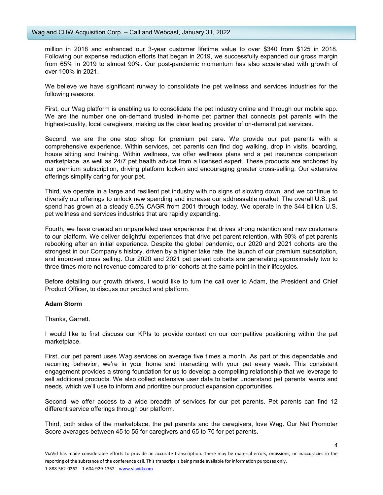million in 2018 and enhanced our 3-year customer lifetime value to over \$340 from \$125 in 2018. Following our expense reduction efforts that began in 2019, we successfully expanded our gross margin from 65% in 2019 to almost 90%. Our post-pandemic momentum has also accelerated with growth of over 100% in 2021.

We believe we have significant runway to consolidate the pet wellness and services industries for the following reasons.

First, our Wag platform is enabling us to consolidate the pet industry online and through our mobile app. We are the number one on-demand trusted in-home pet partner that connects pet parents with the highest-quality, local caregivers, making us the clear leading provider of on-demand pet services.

Second, we are the one stop shop for premium pet care. We provide our pet parents with a comprehensive experience. Within services, pet parents can find dog walking, drop in visits, boarding, house sitting and training. Within wellness, we offer wellness plans and a pet insurance comparison marketplace, as well as 24/7 pet health advice from a licensed expert. These products are anchored by our premium subscription, driving platform lock-in and encouraging greater cross-selling. Our extensive offerings simplify caring for your pet.

Third, we operate in a large and resilient pet industry with no signs of slowing down, and we continue to diversify our offerings to unlock new spending and increase our addressable market. The overall U.S. pet spend has grown at a steady 6.5% CAGR from 2001 through today. We operate in the \$44 billion U.S. pet wellness and services industries that are rapidly expanding.

Fourth, we have created an unparalleled user experience that drives strong retention and new customers to our platform. We deliver delightful experiences that drive pet parent retention, with 90% of pet parents rebooking after an initial experience. Despite the global pandemic, our 2020 and 2021 cohorts are the strongest in our Company's history, driven by a higher take rate, the launch of our premium subscription, and improved cross selling. Our 2020 and 2021 pet parent cohorts are generating approximately two to three times more net revenue compared to prior cohorts at the same point in their lifecycles.

Before detailing our growth drivers, I would like to turn the call over to Adam, the President and Chief Product Officer, to discuss our product and platform.

## **Adam Storm**

## Thanks, Garrett.

I would like to first discuss our KPIs to provide context on our competitive positioning within the pet marketplace.

First, our pet parent uses Wag services on average five times a month. As part of this dependable and recurring behavior, we're in your home and interacting with your pet every week. This consistent engagement provides a strong foundation for us to develop a compelling relationship that we leverage to sell additional products. We also collect extensive user data to better understand pet parents' wants and needs, which we'll use to inform and prioritize our product expansion opportunities.

Second, we offer access to a wide breadth of services for our pet parents. Pet parents can find 12 different service offerings through our platform.

Third, both sides of the marketplace, the pet parents and the caregivers, love Wag. Our Net Promoter Score averages between 45 to 55 for caregivers and 65 to 70 for pet parents.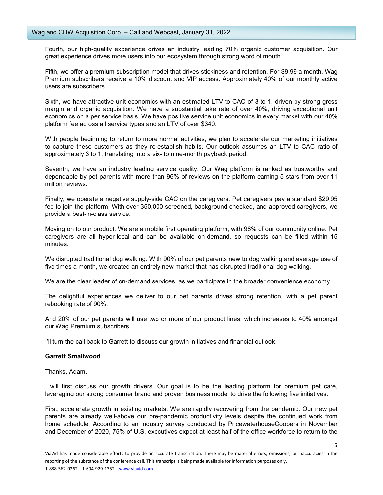Fourth, our high-quality experience drives an industry leading 70% organic customer acquisition. Our great experience drives more users into our ecosystem through strong word of mouth.

Fifth, we offer a premium subscription model that drives stickiness and retention. For \$9.99 a month, Wag Premium subscribers receive a 10% discount and VIP access. Approximately 40% of our monthly active users are subscribers.

Sixth, we have attractive unit economics with an estimated LTV to CAC of 3 to 1, driven by strong gross margin and organic acquisition. We have a substantial take rate of over 40%, driving exceptional unit economics on a per service basis. We have positive service unit economics in every market with our 40% platform fee across all service types and an LTV of over \$340.

With people beginning to return to more normal activities, we plan to accelerate our marketing initiatives to capture these customers as they re-establish habits. Our outlook assumes an LTV to CAC ratio of approximately 3 to 1, translating into a six- to nine-month payback period.

Seventh, we have an industry leading service quality. Our Wag platform is ranked as trustworthy and dependable by pet parents with more than 96% of reviews on the platform earning 5 stars from over 11 million reviews.

Finally, we operate a negative supply-side CAC on the caregivers. Pet caregivers pay a standard \$29.95 fee to join the platform. With over 350,000 screened, background checked, and approved caregivers, we provide a best-in-class service.

Moving on to our product. We are a mobile first operating platform, with 98% of our community online. Pet caregivers are all hyper-local and can be available on-demand, so requests can be filled within 15 minutes.

We disrupted traditional dog walking. With 90% of our pet parents new to dog walking and average use of five times a month, we created an entirely new market that has disrupted traditional dog walking.

We are the clear leader of on-demand services, as we participate in the broader convenience economy.

The delightful experiences we deliver to our pet parents drives strong retention, with a pet parent rebooking rate of 90%.

And 20% of our pet parents will use two or more of our product lines, which increases to 40% amongst our Wag Premium subscribers.

I'll turn the call back to Garrett to discuss our growth initiatives and financial outlook.

#### **Garrett Smallwood**

Thanks, Adam.

I will first discuss our growth drivers. Our goal is to be the leading platform for premium pet care, leveraging our strong consumer brand and proven business model to drive the following five initiatives.

First, accelerate growth in existing markets. We are rapidly recovering from the pandemic. Our new pet parents are already well-above our pre-pandemic productivity levels despite the continued work from home schedule. According to an industry survey conducted by PricewaterhouseCoopers in November and December of 2020, 75% of U.S. executives expect at least half of the office workforce to return to the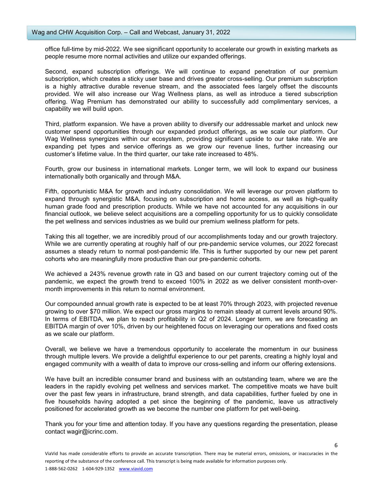office full-time by mid-2022. We see significant opportunity to accelerate our growth in existing markets as people resume more normal activities and utilize our expanded offerings.

Second, expand subscription offerings. We will continue to expand penetration of our premium subscription, which creates a sticky user base and drives greater cross-selling. Our premium subscription is a highly attractive durable revenue stream, and the associated fees largely offset the discounts provided. We will also increase our Wag Wellness plans, as well as introduce a tiered subscription offering. Wag Premium has demonstrated our ability to successfully add complimentary services, a capability we will build upon.

Third, platform expansion. We have a proven ability to diversify our addressable market and unlock new customer spend opportunities through our expanded product offerings, as we scale our platform. Our Wag Wellness synergizes within our ecosystem, providing significant upside to our take rate. We are expanding pet types and service offerings as we grow our revenue lines, further increasing our customer's lifetime value. In the third quarter, our take rate increased to 48%.

Fourth, grow our business in international markets. Longer term, we will look to expand our business internationally both organically and through M&A.

Fifth, opportunistic M&A for growth and industry consolidation. We will leverage our proven platform to expand through synergistic M&A, focusing on subscription and home access, as well as high-quality human grade food and prescription products. While we have not accounted for any acquisitions in our financial outlook, we believe select acquisitions are a compelling opportunity for us to quickly consolidate the pet wellness and services industries as we build our premium wellness platform for pets.

Taking this all together, we are incredibly proud of our accomplishments today and our growth trajectory. While we are currently operating at roughly half of our pre-pandemic service volumes, our 2022 forecast assumes a steady return to normal post-pandemic life. This is further supported by our new pet parent cohorts who are meaningfully more productive than our pre-pandemic cohorts.

We achieved a 243% revenue growth rate in Q3 and based on our current trajectory coming out of the pandemic, we expect the growth trend to exceed 100% in 2022 as we deliver consistent month-overmonth improvements in this return to normal environment.

Our compounded annual growth rate is expected to be at least 70% through 2023, with projected revenue growing to over \$70 million. We expect our gross margins to remain steady at current levels around 90%. In terms of EBITDA, we plan to reach profitability in Q2 of 2024. Longer term, we are forecasting an EBITDA margin of over 10%, driven by our heightened focus on leveraging our operations and fixed costs as we scale our platform.

Overall, we believe we have a tremendous opportunity to accelerate the momentum in our business through multiple levers. We provide a delightful experience to our pet parents, creating a highly loyal and engaged community with a wealth of data to improve our cross-selling and inform our offering extensions.

We have built an incredible consumer brand and business with an outstanding team, where we are the leaders in the rapidly evolving pet wellness and services market. The competitive moats we have built over the past few years in infrastructure, brand strength, and data capabilities, further fueled by one in five households having adopted a pet since the beginning of the pandemic, leave us attractively positioned for accelerated growth as we become the number one platform for pet well-being.

Thank you for your time and attention today. If you have any questions regarding the presentation, please contact wagir@icrinc.com.